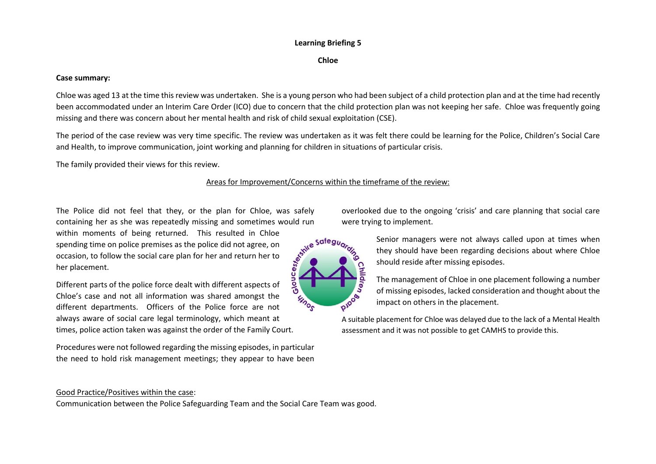# **Learning Briefing 5**

**Chloe**

### **Case summary:**

Chloe was aged 13 at the time thisreview was undertaken. She is a young person who had been subject of a child protection plan and at the time had recently been accommodated under an Interim Care Order (ICO) due to concern that the child protection plan was not keeping her safe. Chloe was frequently going missing and there was concern about her mental health and risk of child sexual exploitation (CSE).

The period of the case review was very time specific. The review was undertaken as it was felt there could be learning for the Police, Children's Social Care and Health, to improve communication, joint working and planning for children in situations of particular crisis.

The family provided their views for this review.

# Areas for Improvement/Concerns within the timeframe of the review:

The Police did not feel that they, or the plan for Chloe, was safely containing her as she was repeatedly missing and sometimes would run were<br>within moments of being returned. This resulted in Chloe<br>spending time on police premises as the police did not agree, on<br>occasion, to follow the so within moments of being returned. This resulted in Chloe spending time on police premises as the police did not agree, on occasion, to follow the social care plan for her and return her to her placement.

Different parts of the police force dealt with different aspects of Chloe's case and not all information was shared amongst the different departments. Officers of the Police force are not always aware of social care legal terminology, which meant at times, police action taken was against the order of the Family Court.

Procedures were not followed regarding the missing episodes, in particular the need to hold risk management meetings; they appear to have been overlooked due to the ongoing 'crisis' and care planning that social care were trying to implement.



Senior managers were not always called upon at times when they should have been regarding decisions about where Chloe should reside after missing episodes.

The management of Chloe in one placement following a number of missing episodes, lacked consideration and thought about the impact on others in the placement.

A suitable placement for Chloe was delayed due to the lack of a Mental Health assessment and it was not possible to get CAMHS to provide this.

### Good Practice/Positives within the case:

Communication between the Police Safeguarding Team and the Social Care Team was good.